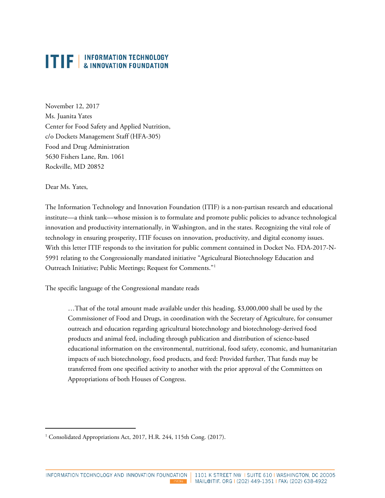November 12, 2017 Ms. Juanita Yates Center for Food Safety and Applied Nutrition, c/o Dockets Management Staff (HFA-305) Food and Drug Administration 5630 Fishers Lane, Rm. 1061 Rockville, MD 20852

Dear Ms. Yates,

1

The Information Technology and Innovation Foundation (ITIF) is a non-partisan research and educational institute—a think tank—whose mission is to formulate and promote public policies to advance technological innovation and productivity internationally, in Washington, and in the states. Recognizing the vital role of technology in ensuring prosperity, ITIF focuses on innovation, productivity, and digital economy issues. With this letter ITIF responds to the invitation for public comment contained in Docket No. FDA-2017-N-5991 relating to the Congressionally mandated initiative "Agricultural Biotechnology Education and Outreach Initiative; Public Meetings; Request for Comments."[1](#page-0-0)

The specific language of the Congressional mandate reads

…That of the total amount made available under this heading, \$3,000,000 shall be used by the Commissioner of Food and Drugs, in coordination with the Secretary of Agriculture, for consumer outreach and education regarding agricultural biotechnology and biotechnology-derived food products and animal feed, including through publication and distribution of science-based educational information on the environmental, nutritional, food safety, economic, and humanitarian impacts of such biotechnology, food products, and feed: Provided further, That funds may be transferred from one specified activity to another with the prior approval of the Committees on Appropriations of both Houses of Congress.

<span id="page-0-0"></span><sup>&</sup>lt;sup>1</sup> Consolidated Appropriations Act, 2017, H.R. 244, 115th Cong. (2017).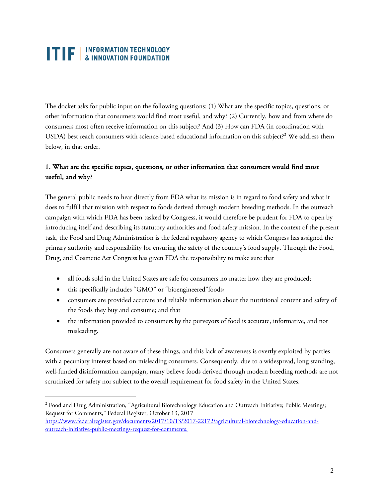The docket asks for public input on the following questions: (1) What are the specific topics, questions, or other information that consumers would find most useful, and why? (2) Currently, how and from where do consumers most often receive information on this subject? And (3) How can FDA (in coordination with USDA) best reach consumers with science-based educational information on this subject?<sup>[2](#page-1-0)</sup> We address them below, in that order.

#### 1. What are the specific topics, questions, or other information that consumers would find most useful, and why?

The general public needs to hear directly from FDA what its mission is in regard to food safety and what it does to fulfill that mission with respect to foods derived through modern breeding methods. In the outreach campaign with which FDA has been tasked by Congress, it would therefore be prudent for FDA to open by introducing itself and describing its statutory authorities and food safety mission. In the context of the present task, the Food and Drug Administration is the federal regulatory agency to which Congress has assigned the primary authority and responsibility for ensuring the safety of the country's food supply. Through the Food, Drug, and Cosmetic Act Congress has given FDA the responsibility to make sure that

- all foods sold in the United States are safe for consumers no matter how they are produced;
- this specifically includes "GMO" or "bioengineered"foods;

 $\overline{a}$ 

- consumers are provided accurate and reliable information about the nutritional content and safety of the foods they buy and consume; and that
- the information provided to consumers by the purveyors of food is accurate, informative, and not misleading.

Consumers generally are not aware of these things, and this lack of awareness is overtly exploited by parties with a pecuniary interest based on misleading consumers. Consequently, due to a widespread, long standing, well-funded disinformation campaign, many believe foods derived through modern breeding methods are not scrutinized for safety nor subject to the overall requirement for food safety in the United States.

<span id="page-1-0"></span><sup>&</sup>lt;sup>2</sup> Food and Drug Administration, "Agricultural Biotechnology Education and Outreach Initiative; Public Meetings; Request for Comments," Federal Register, October 13, 2017

[https://www.federalregister.gov/documents/2017/10/13/2017-22172/agricultural-biotechnology-education-and](https://www.federalregister.gov/documents/2017/10/13/2017-22172/agricultural-biotechnology-education-and-outreach-initiative-public-meetings-request-for-comments)[outreach-initiative-public-meetings-request-for-comments.](https://www.federalregister.gov/documents/2017/10/13/2017-22172/agricultural-biotechnology-education-and-outreach-initiative-public-meetings-request-for-comments)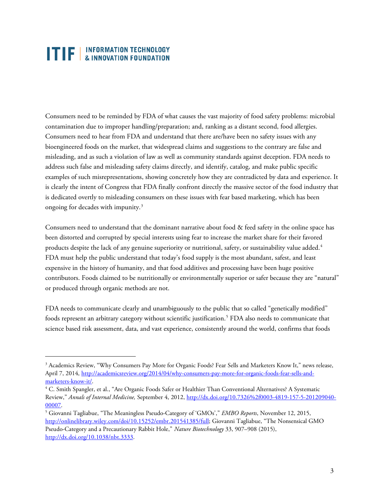1

Consumers need to be reminded by FDA of what causes the vast majority of food safety problems: microbial contamination due to improper handling/preparation; and, ranking as a distant second, food allergies. Consumers need to hear from FDA and understand that there are/have been no safety issues with any bioengineered foods on the market, that widespread claims and suggestions to the contrary are false and misleading, and as such a violation of law as well as community standards against deception. FDA needs to address such false and misleading safety claims directly, and identify, catalog, and make public specific examples of such misrepresentations, showing concretely how they are contradicted by data and experience. It is clearly the intent of Congress that FDA finally confront directly the massive sector of the food industry that is dedicated overtly to misleading consumers on these issues with fear based marketing, which has been ongoing for decades with impunity.[3](#page-2-0)

Consumers need to understand that the dominant narrative about food & feed safety in the online space has been distorted and corrupted by special interests using fear to increase the market share for their favored products despite the lack of any genuine superiority or nutritional, safety, or sustainability value added.<sup>[4](#page-2-1)</sup> FDA must help the public understand that today's food supply is the most abundant, safest, and least expensive in the history of humanity, and that food additives and processing have been huge positive contributors. Foods claimed to be nutritionally or environmentally superior or safer because they are "natural" or produced through organic methods are not.

FDA needs to communicate clearly and unambiguously to the public that so called "genetically modified" foods represent an arbitrary category without scientific justification. [5](#page-2-2) FDA also needs to communicate that science based risk assessment, data, and vast experience, consistently around the world, confirms that foods

<span id="page-2-0"></span><sup>3</sup> Academics Review, "Why Consumers Pay More for Organic Foods? Fear Sells and Marketers Know It," news release, April 7, 2014, [http://academicsreview.org/2014/04/why-consumers-pay-more-for-organic-foods-fear-sells-and](http://academicsreview.org/2014/04/why-consumers-pay-more-for-organic-foods-fear-sells-and-marketers-know-it/)marketers-know-it/.<br><sup>4</sup> C. Smith Spangler, et al., "Are Organic Foods Safer or Healthier Than Conventional Alternatives? A Systematic

<span id="page-2-1"></span>Review," *Annals of Internal Medicine,* September 4, 2012[, http://dx.doi.org/10.7326%2f0003-4819-157-5-201209040-](http://dx.doi.org/10.7326%2f0003-4819-157-5-201209040-00007) [00007.](http://dx.doi.org/10.7326%2f0003-4819-157-5-201209040-00007) 5 Giovanni Tagliabue, "The Meaningless Pseudo-Category of 'GMOs'," *EMBO Reports*, November 12, 2015,

<span id="page-2-2"></span>[http://onlinelibrary.wiley.com/doi/10.15252/embr.201541385/full;](http://onlinelibrary.wiley.com/doi/10.15252/embr.201541385/full) Giovanni Tagliabue, "The Nonsensical GMO Pseudo-Category and a Precautionary Rabbit Hole," *Nature Biotechnology* 33, 907–908 (2015), [http://dx.doi.org/10.1038/nbt.3333.](http://dx.doi.org/10.1038/nbt.3333)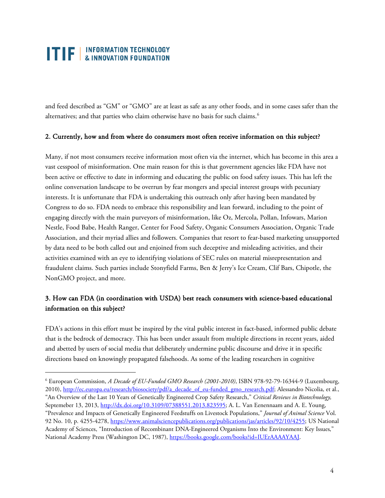$\overline{a}$ 

and feed described as "GM" or "GMO" are at least as safe as any other foods, and in some cases safer than the alternatives; and that parties who claim otherwise have no basis for such claims.<sup>[6](#page-3-0)</sup>

#### 2. Currently, how and from where do consumers most often receive information on this subject?

Many, if not most consumers receive information most often via the internet, which has become in this area a vast cesspool of misinformation. One main reason for this is that government agencies like FDA have not been active or effective to date in informing and educating the public on food safety issues. This has left the online conversation landscape to be overrun by fear mongers and special interest groups with pecuniary interests. It is unfortunate that FDA is undertaking this outreach only after having been mandated by Congress to do so. FDA needs to embrace this responsibility and lean forward, including to the point of engaging directly with the main purveyors of misinformation, like Oz, Mercola, Pollan, Infowars, Marion Nestle, Food Babe, Health Ranger, Center for Food Safety, Organic Consumers Association, Organic Trade Association, and their myriad allies and followers. Companies that resort to fear-based marketing unsupported by data need to be both called out and enjoined from such deceptive and misleading activities, and their activities examined with an eye to identifying violations of SEC rules on material misrepresentation and fraudulent claims. Such parties include Stonyfield Farms, Ben & Jerry's Ice Cream, Clif Bars, Chipotle, the NonGMO project, and more.

#### 3. How can FDA (in coordination with USDA) best reach consumers with science-based educational information on this subject?

FDA's actions in this effort must be inspired by the vital public interest in fact-based, informed public debate that is the bedrock of democracy. This has been under assault from multiple directions in recent years, aided and abetted by users of social media that deliberately undermine public discourse and drive it in specific directions based on knowingly propagated falsehoods. As some of the leading researchers in cognitive

<span id="page-3-0"></span><sup>6</sup> European Commission, *A Decade of EU-Funded GMO Research (2001-2010)*, ISBN 978-92-79-16344-9 (Luxembourg, 2010), [http://ec.europa.eu/research/biosociety/pdf/a\\_decade\\_of\\_eu-funded\\_gmo\\_research.pdf;](http://ec.europa.eu/research/biosociety/pdf/a_decade_of_eu-funded_gmo_research.pdf) Alessandro Nicolia, et al., "An Overview of the Last 10 Years of Genetically Engineered Crop Safety Research," *Critical Reviews in Biotechnology,* Septemeber 13, 2013[, http://dx.doi.org/10.3109/07388551.2013.823595;](http://dx.doi.org/10.3109/07388551.2013.823595) A. L. Van Eenennaam and A. E. Young, "Prevalence and Impacts of Genetically Engineered Feedstuffs on Livestock Populations," *Journal of Animal Science* Vol. 92 No. 10, p. 4255-4278[, https://www.animalsciencepublications.org/publications/jas/articles/92/10/4255;](https://www.animalsciencepublications.org/publications/jas/articles/92/10/4255) US National Academy of Sciences, "Introduction of Recombinant DNA-Engineered Organisms Into the Environment: Key Issues," National Academy Press (Washington DC, 1987)[, https://books.google.com/books?id=IUErAAAAYAAJ.](https://books.google.com/books?id=IUErAAAAYAAJ)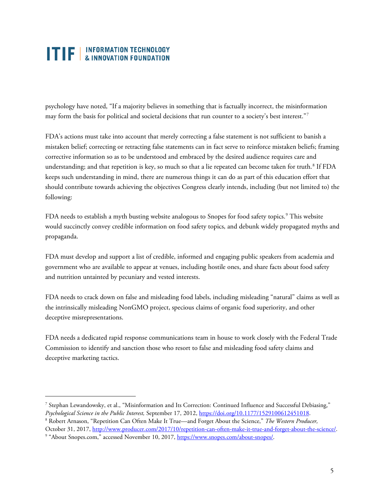psychology have noted, "If a majority believes in something that is factually incorrect, the misinformation may form the basis for political and societal decisions that run counter to a society's best interest."[7](#page-4-0)

FDA's actions must take into account that merely correcting a false statement is not sufficient to banish a mistaken belief; correcting or retracting false statements can in fact serve to reinforce mistaken beliefs; framing corrective information so as to be understood and embraced by the desired audience requires care and understanding; and that repetition is key, so much so that a lie repeated can become taken for truth.<sup>[8](#page-4-1)</sup> If FDA keeps such understanding in mind, there are numerous things it can do as part of this education effort that should contribute towards achieving the objectives Congress clearly intends, including (but not limited to) the following:

FDA needs to establish a myth busting website analogous to Snopes for food safety topics.<sup>[9](#page-4-2)</sup> This website would succinctly convey credible information on food safety topics, and debunk widely propagated myths and propaganda.

FDA must develop and support a list of credible, informed and engaging public speakers from academia and government who are available to appear at venues, including hostile ones, and share facts about food safety and nutrition untainted by pecuniary and vested interests.

FDA needs to crack down on false and misleading food labels, including misleading "natural" claims as well as the intrinsically misleading NonGMO project, specious claims of organic food superiority, and other deceptive misrepresentations.

FDA needs a dedicated rapid response communications team in house to work closely with the Federal Trade Commission to identify and sanction those who resort to false and misleading food safety claims and deceptive marketing tactics.

 $\overline{a}$ 

<span id="page-4-0"></span><sup>7</sup> Stephan Lewandowsky, et al., "Misinformation and Its Correction: Continued Influence and Successful Debiasing," Psychological Science in the Public Interest, September 17, 2012[, https://doi.org/10.1177/1529100612451018.](https://doi.org/10.1177/1529100612451018)<br><sup>8</sup> Robert Arnason, "Repetition Can Often Make It True—and Forget About the Science," *The Western Producer*,

<span id="page-4-1"></span>October 31, 2017, <u>http://www.producer.com/2017/10/repetition-can-often-make-it-true-and-forget-about-the-science/</u>.<br><sup>9</sup> "About Snopes.com," accessed November 10, 2017, [https://www.snopes.com/about-snopes/.](https://www.snopes.com/about-snopes/)

<span id="page-4-2"></span>